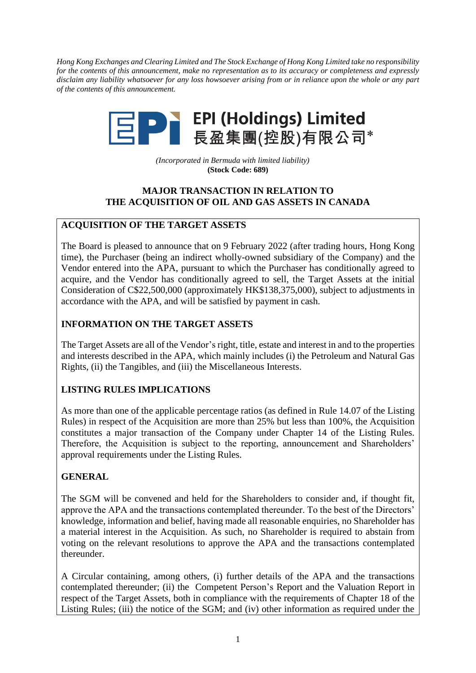*Hong Kong Exchanges and Clearing Limited and The Stock Exchange of Hong Kong Limited take no responsibility for the contents of this announcement, make no representation as to its accuracy or completeness and expressly disclaim any liability whatsoever for any loss howsoever arising from or in reliance upon the whole or any part of the contents of this announcement.*



*(Incorporated in Bermuda with limited liability)* **(Stock Code: 689)**

## **MAJOR TRANSACTION IN RELATION TO THE ACQUISITION OF OIL AND GAS ASSETS IN CANADA**

## **ACQUISITION OF THE TARGET ASSETS**

The Board is pleased to announce that on 9 February 2022 (after trading hours, Hong Kong time), the Purchaser (being an indirect wholly-owned subsidiary of the Company) and the Vendor entered into the APA, pursuant to which the Purchaser has conditionally agreed to acquire, and the Vendor has conditionally agreed to sell, the Target Assets at the initial Consideration of C\$22,500,000 (approximately HK\$138,375,000), subject to adjustments in accordance with the APA, and will be satisfied by payment in cash.

### **INFORMATION ON THE TARGET ASSETS**

The Target Assets are all of the Vendor's right, title, estate and interest in and to the properties and interests described in the APA, which mainly includes (i) the Petroleum and Natural Gas Rights, (ii) the Tangibles, and (iii) the Miscellaneous Interests.

# **LISTING RULES IMPLICATIONS**

As more than one of the applicable percentage ratios (as defined in Rule 14.07 of the Listing Rules) in respect of the Acquisition are more than 25% but less than 100%, the Acquisition constitutes a major transaction of the Company under Chapter 14 of the Listing Rules. Therefore, the Acquisition is subject to the reporting, announcement and Shareholders' approval requirements under the Listing Rules.

### **GENERAL**

The SGM will be convened and held for the Shareholders to consider and, if thought fit, approve the APA and the transactions contemplated thereunder. To the best of the Directors' knowledge, information and belief, having made all reasonable enquiries, no Shareholder has a material interest in the Acquisition. As such, no Shareholder is required to abstain from voting on the relevant resolutions to approve the APA and the transactions contemplated thereunder.

A Circular containing, among others, (i) further details of the APA and the transactions contemplated thereunder; (ii) the Competent Person's Report and the Valuation Report in respect of the Target Assets, both in compliance with the requirements of Chapter 18 of the Listing Rules; (iii) the notice of the SGM; and (iv) other information as required under the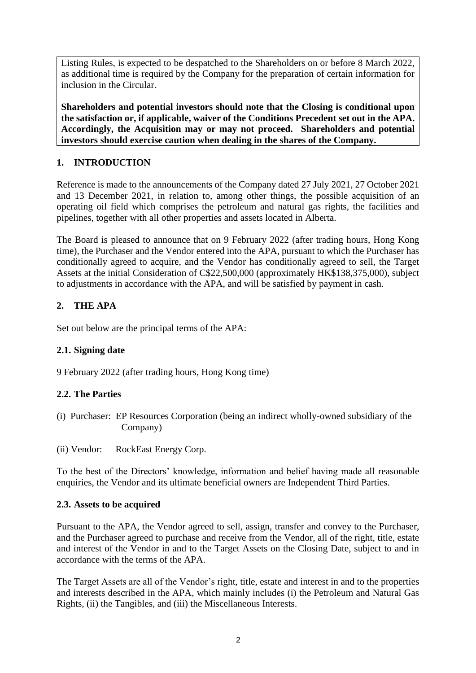Listing Rules, is expected to be despatched to the Shareholders on or before 8 March 2022, as additional time is required by the Company for the preparation of certain information for inclusion in the Circular.

**Shareholders and potential investors should note that the Closing is conditional upon the satisfaction or, if applicable, waiver of the Conditions Precedent set out in the APA. Accordingly, the Acquisition may or may not proceed. Shareholders and potential investors should exercise caution when dealing in the shares of the Company.**

# **1. INTRODUCTION**

Reference is made to the announcements of the Company dated 27 July 2021, 27 October 2021 and 13 December 2021, in relation to, among other things, the possible acquisition of an operating oil field which comprises the petroleum and natural gas rights, the facilities and pipelines, together with all other properties and assets located in Alberta.

The Board is pleased to announce that on 9 February 2022 (after trading hours, Hong Kong time), the Purchaser and the Vendor entered into the APA, pursuant to which the Purchaser has conditionally agreed to acquire, and the Vendor has conditionally agreed to sell, the Target Assets at the initial Consideration of C\$22,500,000 (approximately HK\$138,375,000), subject to adjustments in accordance with the APA, and will be satisfied by payment in cash.

# **2. THE APA**

Set out below are the principal terms of the APA:

# **2.1. Signing date**

9 February 2022 (after trading hours, Hong Kong time)

# **2.2. The Parties**

- (i) Purchaser: EP Resources Corporation (being an indirect wholly-owned subsidiary of the Company)
- (ii) Vendor: RockEast Energy Corp.

To the best of the Directors' knowledge, information and belief having made all reasonable enquiries, the Vendor and its ultimate beneficial owners are Independent Third Parties.

# **2.3. Assets to be acquired**

Pursuant to the APA, the Vendor agreed to sell, assign, transfer and convey to the Purchaser, and the Purchaser agreed to purchase and receive from the Vendor, all of the right, title, estate and interest of the Vendor in and to the Target Assets on the Closing Date, subject to and in accordance with the terms of the APA.

The Target Assets are all of the Vendor's right, title, estate and interest in and to the properties and interests described in the APA, which mainly includes (i) the Petroleum and Natural Gas Rights, (ii) the Tangibles, and (iii) the Miscellaneous Interests.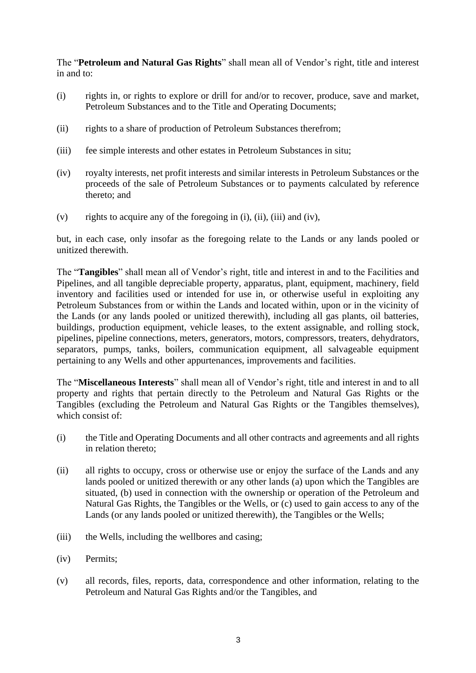The "**Petroleum and Natural Gas Rights**" shall mean all of Vendor's right, title and interest in and to:

- (i) rights in, or rights to explore or drill for and/or to recover, produce, save and market, Petroleum Substances and to the Title and Operating Documents;
- (ii) rights to a share of production of Petroleum Substances therefrom;
- (iii) fee simple interests and other estates in Petroleum Substances in situ;
- (iv) royalty interests, net profit interests and similar interests in Petroleum Substances or the proceeds of the sale of Petroleum Substances or to payments calculated by reference thereto; and
- (v) rights to acquire any of the foregoing in (i), (ii), (iii) and (iv),

but, in each case, only insofar as the foregoing relate to the Lands or any lands pooled or unitized therewith.

The "**Tangibles**" shall mean all of Vendor's right, title and interest in and to the Facilities and Pipelines, and all tangible depreciable property, apparatus, plant, equipment, machinery, field inventory and facilities used or intended for use in, or otherwise useful in exploiting any Petroleum Substances from or within the Lands and located within, upon or in the vicinity of the Lands (or any lands pooled or unitized therewith), including all gas plants, oil batteries, buildings, production equipment, vehicle leases, to the extent assignable, and rolling stock, pipelines, pipeline connections, meters, generators, motors, compressors, treaters, dehydrators, separators, pumps, tanks, boilers, communication equipment, all salvageable equipment pertaining to any Wells and other appurtenances, improvements and facilities.

The "**Miscellaneous Interests**" shall mean all of Vendor's right, title and interest in and to all property and rights that pertain directly to the Petroleum and Natural Gas Rights or the Tangibles (excluding the Petroleum and Natural Gas Rights or the Tangibles themselves), which consist of:

- (i) the Title and Operating Documents and all other contracts and agreements and all rights in relation thereto;
- (ii) all rights to occupy, cross or otherwise use or enjoy the surface of the Lands and any lands pooled or unitized therewith or any other lands (a) upon which the Tangibles are situated, (b) used in connection with the ownership or operation of the Petroleum and Natural Gas Rights, the Tangibles or the Wells, or (c) used to gain access to any of the Lands (or any lands pooled or unitized therewith), the Tangibles or the Wells;
- (iii) the Wells, including the wellbores and casing;
- (iv) Permits;
- (v) all records, files, reports, data, correspondence and other information, relating to the Petroleum and Natural Gas Rights and/or the Tangibles, and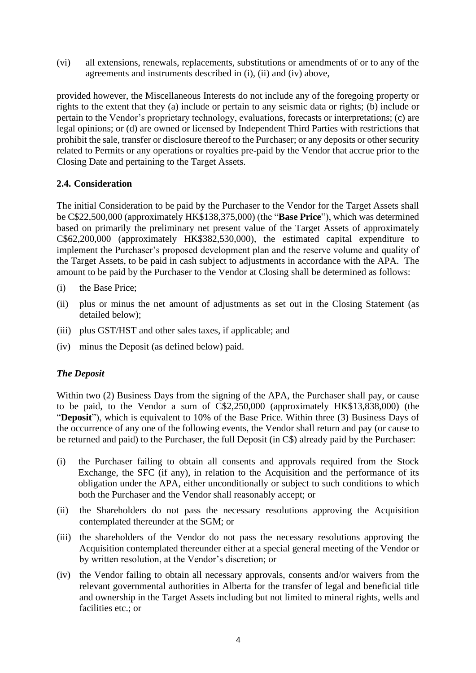(vi) all extensions, renewals, replacements, substitutions or amendments of or to any of the agreements and instruments described in (i), (ii) and (iv) above,

provided however, the Miscellaneous Interests do not include any of the foregoing property or rights to the extent that they (a) include or pertain to any seismic data or rights; (b) include or pertain to the Vendor's proprietary technology, evaluations, forecasts or interpretations; (c) are legal opinions; or (d) are owned or licensed by Independent Third Parties with restrictions that prohibit the sale, transfer or disclosure thereof to the Purchaser; or any deposits or other security related to Permits or any operations or royalties pre-paid by the Vendor that accrue prior to the Closing Date and pertaining to the Target Assets.

## **2.4. Consideration**

The initial Consideration to be paid by the Purchaser to the Vendor for the Target Assets shall be C\$22,500,000 (approximately HK\$138,375,000) (the "**Base Price**"), which was determined based on primarily the preliminary net present value of the Target Assets of approximately C\$62,200,000 (approximately HK\$382,530,000), the estimated capital expenditure to implement the Purchaser's proposed development plan and the reserve volume and quality of the Target Assets, to be paid in cash subject to adjustments in accordance with the APA. The amount to be paid by the Purchaser to the Vendor at Closing shall be determined as follows:

- (i) the Base Price;
- (ii) plus or minus the net amount of adjustments as set out in the Closing Statement (as detailed below);
- (iii) plus GST/HST and other sales taxes, if applicable; and
- (iv) minus the Deposit (as defined below) paid.

### *The Deposit*

Within two (2) Business Days from the signing of the APA, the Purchaser shall pay, or cause to be paid, to the Vendor a sum of C\$2,250,000 (approximately HK\$13,838,000) (the "**Deposit**"), which is equivalent to 10% of the Base Price. Within three (3) Business Days of the occurrence of any one of the following events, the Vendor shall return and pay (or cause to be returned and paid) to the Purchaser, the full Deposit (in C\$) already paid by the Purchaser:

- (i) the Purchaser failing to obtain all consents and approvals required from the Stock Exchange, the SFC (if any), in relation to the Acquisition and the performance of its obligation under the APA, either unconditionally or subject to such conditions to which both the Purchaser and the Vendor shall reasonably accept; or
- (ii) the Shareholders do not pass the necessary resolutions approving the Acquisition contemplated thereunder at the SGM; or
- (iii) the shareholders of the Vendor do not pass the necessary resolutions approving the Acquisition contemplated thereunder either at a special general meeting of the Vendor or by written resolution, at the Vendor's discretion; or
- (iv) the Vendor failing to obtain all necessary approvals, consents and/or waivers from the relevant governmental authorities in Alberta for the transfer of legal and beneficial title and ownership in the Target Assets including but not limited to mineral rights, wells and facilities etc.; or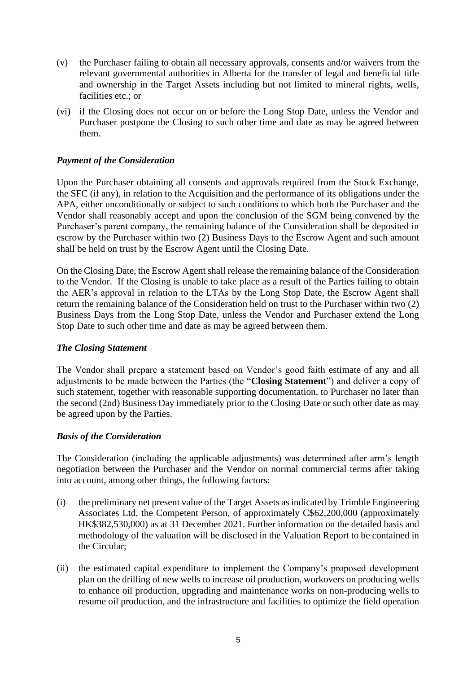- (v) the Purchaser failing to obtain all necessary approvals, consents and/or waivers from the relevant governmental authorities in Alberta for the transfer of legal and beneficial title and ownership in the Target Assets including but not limited to mineral rights, wells, facilities etc.; or
- (vi) if the Closing does not occur on or before the Long Stop Date, unless the Vendor and Purchaser postpone the Closing to such other time and date as may be agreed between them.

### *Payment of the Consideration*

Upon the Purchaser obtaining all consents and approvals required from the Stock Exchange, the SFC (if any), in relation to the Acquisition and the performance of its obligations under the APA, either unconditionally or subject to such conditions to which both the Purchaser and the Vendor shall reasonably accept and upon the conclusion of the SGM being convened by the Purchaser's parent company, the remaining balance of the Consideration shall be deposited in escrow by the Purchaser within two (2) Business Days to the Escrow Agent and such amount shall be held on trust by the Escrow Agent until the Closing Date.

On the Closing Date, the Escrow Agent shall release the remaining balance of the Consideration to the Vendor. If the Closing is unable to take place as a result of the Parties failing to obtain the AER's approval in relation to the LTAs by the Long Stop Date, the Escrow Agent shall return the remaining balance of the Consideration held on trust to the Purchaser within two (2) Business Days from the Long Stop Date, unless the Vendor and Purchaser extend the Long Stop Date to such other time and date as may be agreed between them.

#### *The Closing Statement*

The Vendor shall prepare a statement based on Vendor's good faith estimate of any and all adjustments to be made between the Parties (the "**Closing Statement**") and deliver a copy of such statement, together with reasonable supporting documentation, to Purchaser no later than the second (2nd) Business Day immediately prior to the Closing Date or such other date as may be agreed upon by the Parties.

#### *Basis of the Consideration*

The Consideration (including the applicable adjustments) was determined after arm's length negotiation between the Purchaser and the Vendor on normal commercial terms after taking into account, among other things, the following factors:

- (i) the preliminary net present value of the Target Assets as indicated by Trimble Engineering Associates Ltd, the Competent Person, of approximately C\$62,200,000 (approximately HK\$382,530,000) as at 31 December 2021. Further information on the detailed basis and methodology of the valuation will be disclosed in the Valuation Report to be contained in the Circular;
- (ii) the estimated capital expenditure to implement the Company's proposed development plan on the drilling of new wells to increase oil production, workovers on producing wells to enhance oil production, upgrading and maintenance works on non-producing wells to resume oil production, and the infrastructure and facilities to optimize the field operation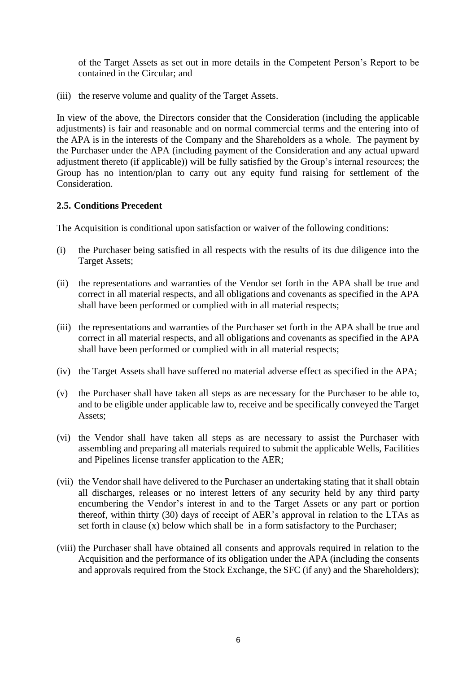of the Target Assets as set out in more details in the Competent Person's Report to be contained in the Circular; and

(iii) the reserve volume and quality of the Target Assets.

In view of the above, the Directors consider that the Consideration (including the applicable adjustments) is fair and reasonable and on normal commercial terms and the entering into of the APA is in the interests of the Company and the Shareholders as a whole. The payment by the Purchaser under the APA (including payment of the Consideration and any actual upward adjustment thereto (if applicable)) will be fully satisfied by the Group's internal resources; the Group has no intention/plan to carry out any equity fund raising for settlement of the Consideration.

### **2.5. Conditions Precedent**

The Acquisition is conditional upon satisfaction or waiver of the following conditions:

- (i) the Purchaser being satisfied in all respects with the results of its due diligence into the Target Assets;
- (ii) the representations and warranties of the Vendor set forth in the APA shall be true and correct in all material respects, and all obligations and covenants as specified in the APA shall have been performed or complied with in all material respects;
- (iii) the representations and warranties of the Purchaser set forth in the APA shall be true and correct in all material respects, and all obligations and covenants as specified in the APA shall have been performed or complied with in all material respects;
- (iv) the Target Assets shall have suffered no material adverse effect as specified in the APA;
- (v) the Purchaser shall have taken all steps as are necessary for the Purchaser to be able to, and to be eligible under applicable law to, receive and be specifically conveyed the Target Assets;
- (vi) the Vendor shall have taken all steps as are necessary to assist the Purchaser with assembling and preparing all materials required to submit the applicable Wells, Facilities and Pipelines license transfer application to the AER;
- (vii) the Vendor shall have delivered to the Purchaser an undertaking stating that it shall obtain all discharges, releases or no interest letters of any security held by any third party encumbering the Vendor's interest in and to the Target Assets or any part or portion thereof, within thirty (30) days of receipt of AER's approval in relation to the LTAs as set forth in clause (x) below which shall be in a form satisfactory to the Purchaser;
- (viii) the Purchaser shall have obtained all consents and approvals required in relation to the Acquisition and the performance of its obligation under the APA (including the consents and approvals required from the Stock Exchange, the SFC (if any) and the Shareholders);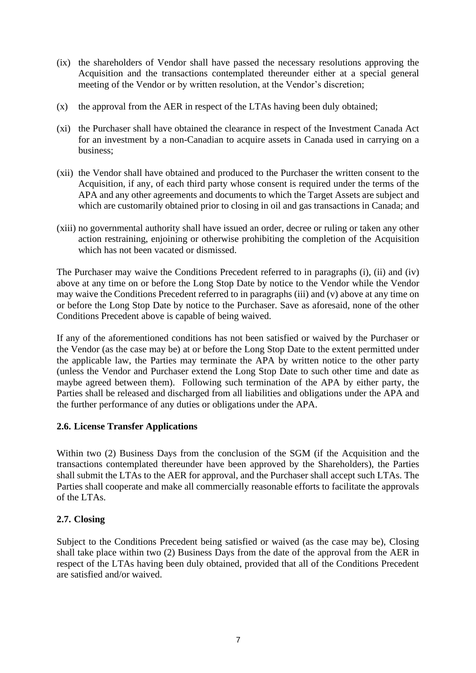- (ix) the shareholders of Vendor shall have passed the necessary resolutions approving the Acquisition and the transactions contemplated thereunder either at a special general meeting of the Vendor or by written resolution, at the Vendor's discretion;
- (x) the approval from the AER in respect of the LTAs having been duly obtained;
- (xi) the Purchaser shall have obtained the clearance in respect of the Investment Canada Act for an investment by a non-Canadian to acquire assets in Canada used in carrying on a business;
- (xii) the Vendor shall have obtained and produced to the Purchaser the written consent to the Acquisition, if any, of each third party whose consent is required under the terms of the APA and any other agreements and documents to which the Target Assets are subject and which are customarily obtained prior to closing in oil and gas transactions in Canada; and
- (xiii) no governmental authority shall have issued an order, decree or ruling or taken any other action restraining, enjoining or otherwise prohibiting the completion of the Acquisition which has not been vacated or dismissed.

The Purchaser may waive the Conditions Precedent referred to in paragraphs (i), (ii) and (iv) above at any time on or before the Long Stop Date by notice to the Vendor while the Vendor may waive the Conditions Precedent referred to in paragraphs (iii) and (v) above at any time on or before the Long Stop Date by notice to the Purchaser. Save as aforesaid, none of the other Conditions Precedent above is capable of being waived.

If any of the aforementioned conditions has not been satisfied or waived by the Purchaser or the Vendor (as the case may be) at or before the Long Stop Date to the extent permitted under the applicable law, the Parties may terminate the APA by written notice to the other party (unless the Vendor and Purchaser extend the Long Stop Date to such other time and date as maybe agreed between them). Following such termination of the APA by either party, the Parties shall be released and discharged from all liabilities and obligations under the APA and the further performance of any duties or obligations under the APA.

### **2.6. License Transfer Applications**

Within two (2) Business Days from the conclusion of the SGM (if the Acquisition and the transactions contemplated thereunder have been approved by the Shareholders), the Parties shall submit the LTAs to the AER for approval, and the Purchaser shall accept such LTAs. The Parties shall cooperate and make all commercially reasonable efforts to facilitate the approvals of the LTAs.

### **2.7. Closing**

Subject to the Conditions Precedent being satisfied or waived (as the case may be), Closing shall take place within two (2) Business Days from the date of the approval from the AER in respect of the LTAs having been duly obtained, provided that all of the Conditions Precedent are satisfied and/or waived.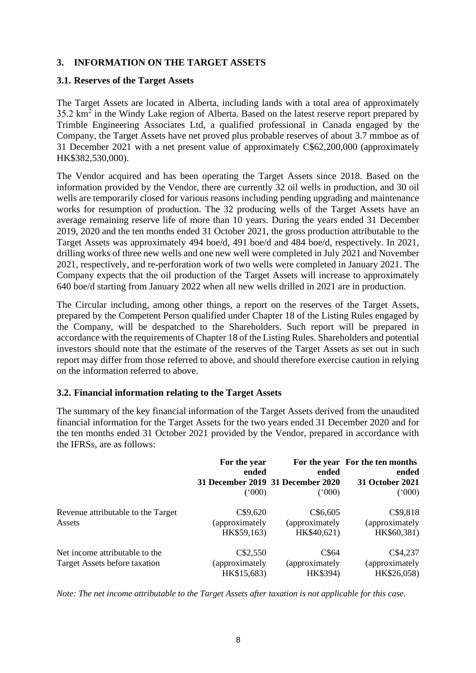## **3. INFORMATION ON THE TARGET ASSETS**

#### **3.1. Reserves of the Target Assets**

The Target Assets are located in Alberta, including lands with a total area of approximately  $35.2 \text{ km}^2$  in the Windy Lake region of Alberta. Based on the latest reserve report prepared by Trimble Engineering Associates Ltd, a qualified professional in Canada engaged by the Company, the Target Assets have net proved plus probable reserves of about 3.7 mmboe as of 31 December 2021 with a net present value of approximately C\$62,200,000 (approximately HK\$382,530,000).

The Vendor acquired and has been operating the Target Assets since 2018. Based on the information provided by the Vendor, there are currently 32 oil wells in production, and 30 oil wells are temporarily closed for various reasons including pending upgrading and maintenance works for resumption of production. The 32 producing wells of the Target Assets have an average remaining reserve life of more than 10 years. During the years ended 31 December 2019, 2020 and the ten months ended 31 October 2021, the gross production attributable to the Target Assets was approximately 494 boe/d, 491 boe/d and 484 boe/d, respectively. In 2021, drilling works of three new wells and one new well were completed in July 2021 and November 2021, respectively, and re-perforation work of two wells were completed in January 2021. The Company expects that the oil production of the Target Assets will increase to approximately 640 boe/d starting from January 2022 when all new wells drilled in 2021 are in production.

The Circular including, among other things, a report on the reserves of the Target Assets, prepared by the Competent Person qualified under Chapter 18 of the Listing Rules engaged by the Company, will be despatched to the Shareholders. Such report will be prepared in accordance with the requirements of Chapter 18 of the Listing Rules. Shareholders and potential investors should note that the estimate of the reserves of the Target Assets as set out in such report may differ from those referred to above, and should therefore exercise caution in relying on the information referred to above.

### **3.2. Financial information relating to the Target Assets**

The summary of the key financial information of the Target Assets derived from the unaudited financial information for the Target Assets for the two years ended 31 December 2020 and for the ten months ended 31 October 2021 provided by the Vendor, prepared in accordance with the IFRSs, are as follows:

|                                              | For the year<br>ended | ended<br>31 December 2019 31 December 2020 | For the year For the ten months<br>ended<br><b>31 October 2021</b> |
|----------------------------------------------|-----------------------|--------------------------------------------|--------------------------------------------------------------------|
|                                              |                       |                                            |                                                                    |
|                                              | (000)                 | (000)                                      | (000)                                                              |
| Revenue attributable to the Target<br>Assets | C\$9,620              | C\$6,605                                   | C\$9,818                                                           |
|                                              | (approximately)       | (approximately                             | (approximately)                                                    |
|                                              | HK\$59,163)           | HK\$40,621)                                | HK\$60,381)                                                        |
| Net income attributable to the               | C\$2,550              | C\$64                                      | C\$4,237                                                           |
| Target Assets before taxation                | (approximately)       | (approximately                             | (approximately                                                     |
|                                              | HK\$15,683)           | HK\$394)                                   | HK\$26,058)                                                        |

*Note: The net income attributable to the Target Assets after taxation is not applicable for this case.*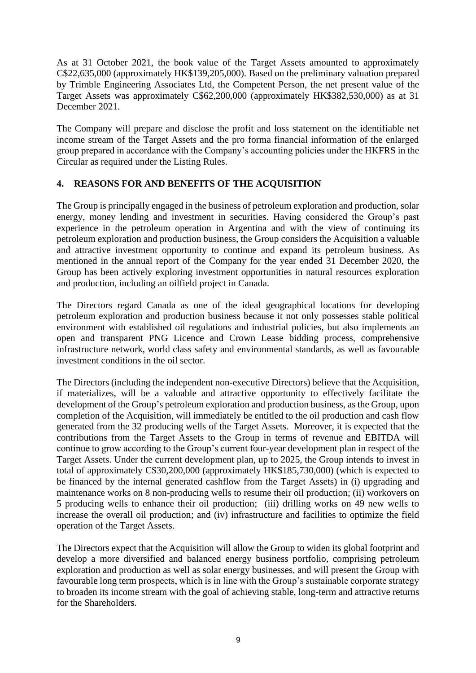As at 31 October 2021, the book value of the Target Assets amounted to approximately C\$22,635,000 (approximately HK\$139,205,000). Based on the preliminary valuation prepared by Trimble Engineering Associates Ltd, the Competent Person, the net present value of the Target Assets was approximately C\$62,200,000 (approximately HK\$382,530,000) as at 31 December 2021.

The Company will prepare and disclose the profit and loss statement on the identifiable net income stream of the Target Assets and the pro forma financial information of the enlarged group prepared in accordance with the Company's accounting policies under the HKFRS in the Circular as required under the Listing Rules.

### **4. REASONS FOR AND BENEFITS OF THE ACQUISITION**

The Group is principally engaged in the business of petroleum exploration and production, solar energy, money lending and investment in securities. Having considered the Group's past experience in the petroleum operation in Argentina and with the view of continuing its petroleum exploration and production business, the Group considers the Acquisition a valuable and attractive investment opportunity to continue and expand its petroleum business. As mentioned in the annual report of the Company for the year ended 31 December 2020, the Group has been actively exploring investment opportunities in natural resources exploration and production, including an oilfield project in Canada.

The Directors regard Canada as one of the ideal geographical locations for developing petroleum exploration and production business because it not only possesses stable political environment with established oil regulations and industrial policies, but also implements an open and transparent PNG Licence and Crown Lease bidding process, comprehensive infrastructure network, world class safety and environmental standards, as well as favourable investment conditions in the oil sector.

The Directors (including the independent non-executive Directors) believe that the Acquisition, if materializes, will be a valuable and attractive opportunity to effectively facilitate the development of the Group's petroleum exploration and production business, as the Group, upon completion of the Acquisition, will immediately be entitled to the oil production and cash flow generated from the 32 producing wells of the Target Assets. Moreover, it is expected that the contributions from the Target Assets to the Group in terms of revenue and EBITDA will continue to grow according to the Group's current four-year development plan in respect of the Target Assets. Under the current development plan, up to 2025, the Group intends to invest in total of approximately C\$30,200,000 (approximately HK\$185,730,000) (which is expected to be financed by the internal generated cashflow from the Target Assets) in (i) upgrading and maintenance works on 8 non-producing wells to resume their oil production; (ii) workovers on 5 producing wells to enhance their oil production; (iii) drilling works on 49 new wells to increase the overall oil production; and (iv) infrastructure and facilities to optimize the field operation of the Target Assets.

The Directors expect that the Acquisition will allow the Group to widen its global footprint and develop a more diversified and balanced energy business portfolio, comprising petroleum exploration and production as well as solar energy businesses, and will present the Group with favourable long term prospects, which is in line with the Group's sustainable corporate strategy to broaden its income stream with the goal of achieving stable, long-term and attractive returns for the Shareholders.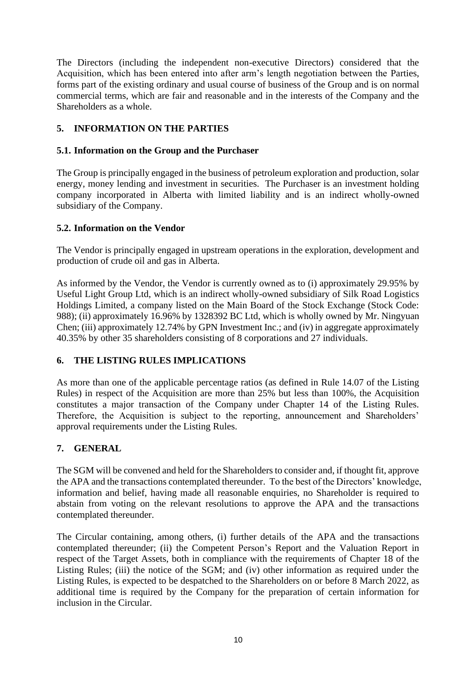The Directors (including the independent non-executive Directors) considered that the Acquisition, which has been entered into after arm's length negotiation between the Parties, forms part of the existing ordinary and usual course of business of the Group and is on normal commercial terms, which are fair and reasonable and in the interests of the Company and the Shareholders as a whole.

# **5. INFORMATION ON THE PARTIES**

## **5.1. Information on the Group and the Purchaser**

The Group is principally engaged in the business of petroleum exploration and production, solar energy, money lending and investment in securities. The Purchaser is an investment holding company incorporated in Alberta with limited liability and is an indirect wholly-owned subsidiary of the Company.

## **5.2. Information on the Vendor**

The Vendor is principally engaged in upstream operations in the exploration, development and production of crude oil and gas in Alberta.

As informed by the Vendor, the Vendor is currently owned as to (i) approximately 29.95% by Useful Light Group Ltd, which is an indirect wholly-owned subsidiary of Silk Road Logistics Holdings Limited, a company listed on the Main Board of the Stock Exchange (Stock Code: 988); (ii) approximately 16.96% by 1328392 BC Ltd, which is wholly owned by Mr. Ningyuan Chen; (iii) approximately 12.74% by GPN Investment Inc.; and (iv) in aggregate approximately 40.35% by other 35 shareholders consisting of 8 corporations and 27 individuals.

### **6. THE LISTING RULES IMPLICATIONS**

As more than one of the applicable percentage ratios (as defined in Rule 14.07 of the Listing Rules) in respect of the Acquisition are more than 25% but less than 100%, the Acquisition constitutes a major transaction of the Company under Chapter 14 of the Listing Rules. Therefore, the Acquisition is subject to the reporting, announcement and Shareholders' approval requirements under the Listing Rules.

# **7. GENERAL**

The SGM will be convened and held for the Shareholders to consider and, if thought fit, approve the APA and the transactions contemplated thereunder. To the best of the Directors' knowledge, information and belief, having made all reasonable enquiries, no Shareholder is required to abstain from voting on the relevant resolutions to approve the APA and the transactions contemplated thereunder.

The Circular containing, among others, (i) further details of the APA and the transactions contemplated thereunder; (ii) the Competent Person's Report and the Valuation Report in respect of the Target Assets, both in compliance with the requirements of Chapter 18 of the Listing Rules; (iii) the notice of the SGM; and (iv) other information as required under the Listing Rules, is expected to be despatched to the Shareholders on or before 8 March 2022, as additional time is required by the Company for the preparation of certain information for inclusion in the Circular.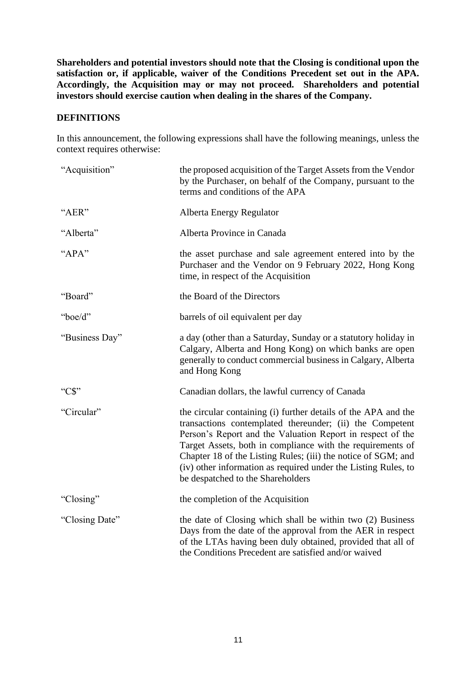**Shareholders and potential investors should note that the Closing is conditional upon the satisfaction or, if applicable, waiver of the Conditions Precedent set out in the APA. Accordingly, the Acquisition may or may not proceed. Shareholders and potential investors should exercise caution when dealing in the shares of the Company.**

#### **DEFINITIONS**

In this announcement, the following expressions shall have the following meanings, unless the context requires otherwise:

| "Acquisition"  | the proposed acquisition of the Target Assets from the Vendor<br>by the Purchaser, on behalf of the Company, pursuant to the<br>terms and conditions of the APA                                                                                                                                                                                                                                                                |
|----------------|--------------------------------------------------------------------------------------------------------------------------------------------------------------------------------------------------------------------------------------------------------------------------------------------------------------------------------------------------------------------------------------------------------------------------------|
| "AER"          | Alberta Energy Regulator                                                                                                                                                                                                                                                                                                                                                                                                       |
| "Alberta"      | Alberta Province in Canada                                                                                                                                                                                                                                                                                                                                                                                                     |
| "APA"          | the asset purchase and sale agreement entered into by the<br>Purchaser and the Vendor on 9 February 2022, Hong Kong<br>time, in respect of the Acquisition                                                                                                                                                                                                                                                                     |
| "Board"        | the Board of the Directors                                                                                                                                                                                                                                                                                                                                                                                                     |
| "boe/d"        | barrels of oil equivalent per day                                                                                                                                                                                                                                                                                                                                                                                              |
| "Business Day" | a day (other than a Saturday, Sunday or a statutory holiday in<br>Calgary, Alberta and Hong Kong) on which banks are open<br>generally to conduct commercial business in Calgary, Alberta<br>and Hong Kong                                                                                                                                                                                                                     |
| " $CS$ "       | Canadian dollars, the lawful currency of Canada                                                                                                                                                                                                                                                                                                                                                                                |
| "Circular"     | the circular containing (i) further details of the APA and the<br>transactions contemplated thereunder; (ii) the Competent<br>Person's Report and the Valuation Report in respect of the<br>Target Assets, both in compliance with the requirements of<br>Chapter 18 of the Listing Rules; (iii) the notice of SGM; and<br>(iv) other information as required under the Listing Rules, to<br>be despatched to the Shareholders |
| "Closing"      | the completion of the Acquisition                                                                                                                                                                                                                                                                                                                                                                                              |
| "Closing Date" | the date of Closing which shall be within two (2) Business<br>Days from the date of the approval from the AER in respect<br>of the LTAs having been duly obtained, provided that all of<br>the Conditions Precedent are satisfied and/or waived                                                                                                                                                                                |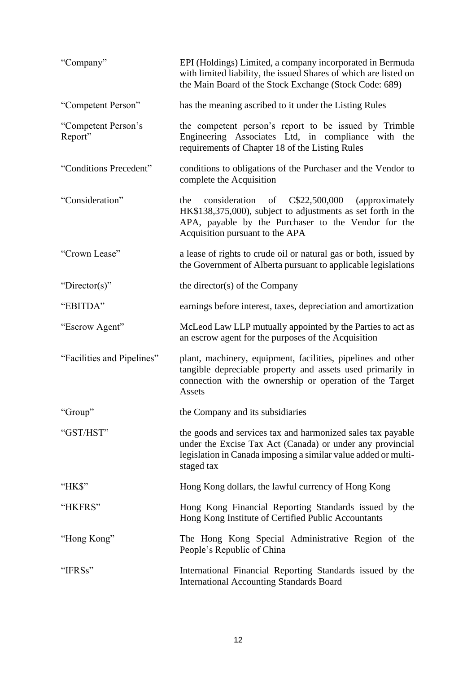| "Company"                      | EPI (Holdings) Limited, a company incorporated in Bermuda<br>with limited liability, the issued Shares of which are listed on<br>the Main Board of the Stock Exchange (Stock Code: 689)                               |
|--------------------------------|-----------------------------------------------------------------------------------------------------------------------------------------------------------------------------------------------------------------------|
| "Competent Person"             | has the meaning ascribed to it under the Listing Rules                                                                                                                                                                |
| "Competent Person's<br>Report" | the competent person's report to be issued by Trimble<br>Engineering Associates Ltd, in compliance with the<br>requirements of Chapter 18 of the Listing Rules                                                        |
| "Conditions Precedent"         | conditions to obligations of the Purchaser and the Vendor to<br>complete the Acquisition                                                                                                                              |
| "Consideration"                | consideration of<br>C\$22,500,000<br>(approximately)<br>the<br>HK\$138,375,000), subject to adjustments as set forth in the<br>APA, payable by the Purchaser to the Vendor for the<br>Acquisition pursuant to the APA |
| "Crown Lease"                  | a lease of rights to crude oil or natural gas or both, issued by<br>the Government of Alberta pursuant to applicable legislations                                                                                     |
| "Director(s)"                  | the director(s) of the Company                                                                                                                                                                                        |
| "EBITDA"                       | earnings before interest, taxes, depreciation and amortization                                                                                                                                                        |
| "Escrow Agent"                 | McLeod Law LLP mutually appointed by the Parties to act as<br>an escrow agent for the purposes of the Acquisition                                                                                                     |
| "Facilities and Pipelines"     | plant, machinery, equipment, facilities, pipelines and other<br>tangible depreciable property and assets used primarily in<br>connection with the ownership or operation of the Target<br>Assets                      |
| "Group"                        | the Company and its subsidiaries                                                                                                                                                                                      |
| "GST/HST"                      | the goods and services tax and harmonized sales tax payable<br>under the Excise Tax Act (Canada) or under any provincial<br>legislation in Canada imposing a similar value added or multi-<br>staged tax              |
| " $HKS$ "                      | Hong Kong dollars, the lawful currency of Hong Kong                                                                                                                                                                   |
| "HKFRS"                        | Hong Kong Financial Reporting Standards issued by the<br>Hong Kong Institute of Certified Public Accountants                                                                                                          |
| "Hong Kong"                    | The Hong Kong Special Administrative Region of the<br>People's Republic of China                                                                                                                                      |
| "IFRSs"                        | International Financial Reporting Standards issued by the<br><b>International Accounting Standards Board</b>                                                                                                          |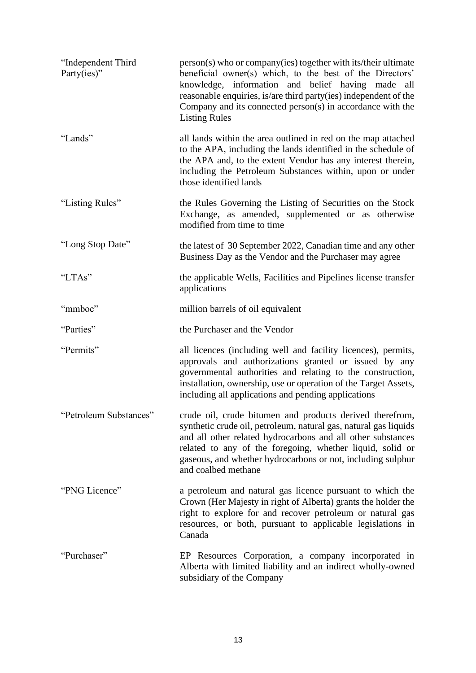| "Independent Third<br>Party(ies)" | person(s) who or company(ies) together with its/their ultimate<br>beneficial owner(s) which, to the best of the Directors'<br>knowledge, information and belief having made all<br>reasonable enquiries, is/are third party(ies) independent of the<br>Company and its connected person(s) in accordance with the<br><b>Listing Rules</b>      |
|-----------------------------------|------------------------------------------------------------------------------------------------------------------------------------------------------------------------------------------------------------------------------------------------------------------------------------------------------------------------------------------------|
| "Lands"                           | all lands within the area outlined in red on the map attached<br>to the APA, including the lands identified in the schedule of<br>the APA and, to the extent Vendor has any interest therein,<br>including the Petroleum Substances within, upon or under<br>those identified lands                                                            |
| "Listing Rules"                   | the Rules Governing the Listing of Securities on the Stock<br>Exchange, as amended, supplemented or as otherwise<br>modified from time to time                                                                                                                                                                                                 |
| "Long Stop Date"                  | the latest of 30 September 2022, Canadian time and any other<br>Business Day as the Vendor and the Purchaser may agree                                                                                                                                                                                                                         |
| "LTAs"                            | the applicable Wells, Facilities and Pipelines license transfer<br>applications                                                                                                                                                                                                                                                                |
| "mmboe"                           | million barrels of oil equivalent                                                                                                                                                                                                                                                                                                              |
| "Parties"                         | the Purchaser and the Vendor                                                                                                                                                                                                                                                                                                                   |
| "Permits"                         | all licences (including well and facility licences), permits,<br>approvals and authorizations granted or issued by any<br>governmental authorities and relating to the construction,<br>installation, ownership, use or operation of the Target Assets,<br>including all applications and pending applications                                 |
| "Petroleum Substances"            | crude oil, crude bitumen and products derived therefrom,<br>synthetic crude oil, petroleum, natural gas, natural gas liquids<br>and all other related hydrocarbons and all other substances<br>related to any of the foregoing, whether liquid, solid or<br>gaseous, and whether hydrocarbons or not, including sulphur<br>and coalbed methane |
| "PNG Licence"                     | a petroleum and natural gas licence pursuant to which the<br>Crown (Her Majesty in right of Alberta) grants the holder the<br>right to explore for and recover petroleum or natural gas<br>resources, or both, pursuant to applicable legislations in<br>Canada                                                                                |
| "Purchaser"                       | EP Resources Corporation, a company incorporated in<br>Alberta with limited liability and an indirect wholly-owned<br>subsidiary of the Company                                                                                                                                                                                                |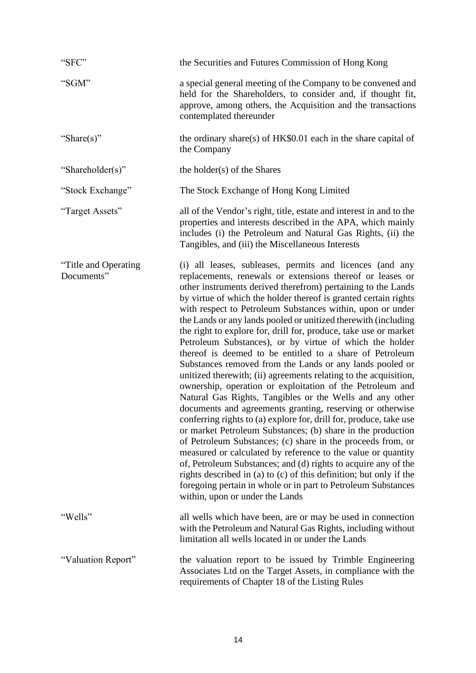| "SFC"                               | the Securities and Futures Commission of Hong Kong                                                                                                                                                                                                                                                                                                                                                                                                                                                                                                                                                                                                                                                                                                                                                                                                                                                                                                                                                                                                                                                                                                                                                                                                                                                                                                                                                                        |
|-------------------------------------|---------------------------------------------------------------------------------------------------------------------------------------------------------------------------------------------------------------------------------------------------------------------------------------------------------------------------------------------------------------------------------------------------------------------------------------------------------------------------------------------------------------------------------------------------------------------------------------------------------------------------------------------------------------------------------------------------------------------------------------------------------------------------------------------------------------------------------------------------------------------------------------------------------------------------------------------------------------------------------------------------------------------------------------------------------------------------------------------------------------------------------------------------------------------------------------------------------------------------------------------------------------------------------------------------------------------------------------------------------------------------------------------------------------------------|
| "SGM"                               | a special general meeting of the Company to be convened and<br>held for the Shareholders, to consider and, if thought fit,<br>approve, among others, the Acquisition and the transactions<br>contemplated thereunder                                                                                                                                                                                                                                                                                                                                                                                                                                                                                                                                                                                                                                                                                                                                                                                                                                                                                                                                                                                                                                                                                                                                                                                                      |
| "Share(s)"                          | the ordinary share(s) of $HK$0.01$ each in the share capital of<br>the Company                                                                                                                                                                                                                                                                                                                                                                                                                                                                                                                                                                                                                                                                                                                                                                                                                                                                                                                                                                                                                                                                                                                                                                                                                                                                                                                                            |
| "Shareholder(s)"                    | the holder(s) of the Shares                                                                                                                                                                                                                                                                                                                                                                                                                                                                                                                                                                                                                                                                                                                                                                                                                                                                                                                                                                                                                                                                                                                                                                                                                                                                                                                                                                                               |
| "Stock Exchange"                    | The Stock Exchange of Hong Kong Limited                                                                                                                                                                                                                                                                                                                                                                                                                                                                                                                                                                                                                                                                                                                                                                                                                                                                                                                                                                                                                                                                                                                                                                                                                                                                                                                                                                                   |
| "Target Assets"                     | all of the Vendor's right, title, estate and interest in and to the<br>properties and interests described in the APA, which mainly<br>includes (i) the Petroleum and Natural Gas Rights, (ii) the<br>Tangibles, and (iii) the Miscellaneous Interests                                                                                                                                                                                                                                                                                                                                                                                                                                                                                                                                                                                                                                                                                                                                                                                                                                                                                                                                                                                                                                                                                                                                                                     |
| "Title and Operating"<br>Documents" | (i) all leases, subleases, permits and licences (and any<br>replacements, renewals or extensions thereof or leases or<br>other instruments derived therefrom) pertaining to the Lands<br>by virtue of which the holder thereof is granted certain rights<br>with respect to Petroleum Substances within, upon or under<br>the Lands or any lands pooled or unitized therewith (including<br>the right to explore for, drill for, produce, take use or market<br>Petroleum Substances), or by virtue of which the holder<br>thereof is deemed to be entitled to a share of Petroleum<br>Substances removed from the Lands or any lands pooled or<br>unitized therewith; (ii) agreements relating to the acquisition,<br>ownership, operation or exploitation of the Petroleum and<br>Natural Gas Rights, Tangibles or the Wells and any other<br>documents and agreements granting, reserving or otherwise<br>conferring rights to (a) explore for, drill for, produce, take use<br>or market Petroleum Substances; (b) share in the production<br>of Petroleum Substances; (c) share in the proceeds from, or<br>measured or calculated by reference to the value or quantity<br>of, Petroleum Substances; and (d) rights to acquire any of the<br>rights described in (a) to (c) of this definition; but only if the<br>foregoing pertain in whole or in part to Petroleum Substances<br>within, upon or under the Lands |
| "Wells"                             | all wells which have been, are or may be used in connection<br>with the Petroleum and Natural Gas Rights, including without<br>limitation all wells located in or under the Lands                                                                                                                                                                                                                                                                                                                                                                                                                                                                                                                                                                                                                                                                                                                                                                                                                                                                                                                                                                                                                                                                                                                                                                                                                                         |
| "Valuation Report"                  | the valuation report to be issued by Trimble Engineering<br>Associates Ltd on the Target Assets, in compliance with the<br>requirements of Chapter 18 of the Listing Rules                                                                                                                                                                                                                                                                                                                                                                                                                                                                                                                                                                                                                                                                                                                                                                                                                                                                                                                                                                                                                                                                                                                                                                                                                                                |